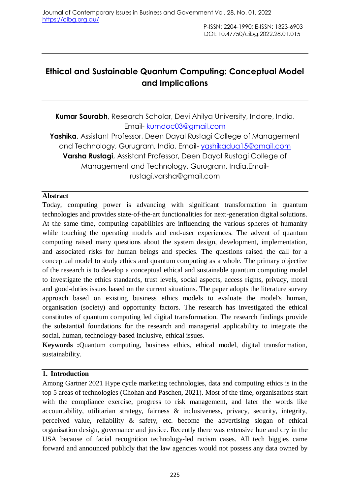# **Ethical and Sustainable Quantum Computing: Conceptual Model and Implications**

**Kumar Saurabh**, Research Scholar, Devi Ahilya University, Indore, India. Email- [kumdoc03@gmail.com](mailto:kumdoc03@gmail.com) **Yashika**, Assistant Professor, Deen Dayal Rustagi College of Management and Technology, Gurugram, India. Email- [yashikadua15@gmail.com](mailto:yashikadua15@gmail.com) **Varsha Rustagi**, Assistant Professor, Deen Dayal Rustagi College of Management and Technology, Gurugram, India.Emailrustagi.varsha@gmail.com

# **Abstract**

Today, computing power is advancing with significant transformation in quantum technologies and provides state-of-the-art functionalities for next-generation digital solutions. At the same time, computing capabilities are influencing the various spheres of humanity while touching the operating models and end-user experiences. The advent of quantum computing raised many questions about the system design, development, implementation, and associated risks for human beings and species. The questions raised the call for a conceptual model to study ethics and quantum computing as a whole. The primary objective of the research is to develop a conceptual ethical and sustainable quantum computing model to investigate the ethics standards, trust levels, social aspects, access rights, privacy, moral and good-duties issues based on the current situations. The paper adopts the literature survey approach based on existing business ethics models to evaluate the model's human, organisation (society) and opportunity factors. The research has investigated the ethical constitutes of quantum computing led digital transformation. The research findings provide the substantial foundations for the research and managerial applicability to integrate the social, human, technology-based inclusive, ethical issues.

**Keywords :**Quantum computing, business ethics, ethical model, digital transformation, sustainability.

# **1. Introduction**

Among Gartner 2021 Hype cycle marketing technologies, data and computing ethics is in the top 5 areas of technologies (Chohan and Paschen, 2021). Most of the time, organisations start with the compliance exercise, progress to risk management, and later the words like accountability, utilitarian strategy, fairness & inclusiveness, privacy, security, integrity, perceived value, reliability & safety, etc. become the advertising slogan of ethical organisation design, governance and justice. Recently there was extensive hue and cry in the USA because of facial recognition technology-led racism cases. All tech biggies came forward and announced publicly that the law agencies would not possess any data owned by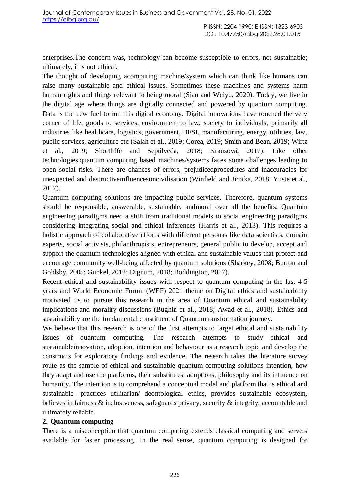enterprises.The concern was, technology can become susceptible to errors, not sustainable; ultimately, it is not ethical.

The thought of developing acomputing machine/system which can think like humans can raise many sustainable and ethical issues. Sometimes these machines and systems harm human rights and things relevant to being moral (Siau and Weiyu, 2020). Today, we live in the digital age where things are digitally connected and powered by quantum computing. Data is the new fuel to run this digital economy. Digital innovations have touched the very corner of life, goods to services, environment to law, society to individuals, primarily all industries like healthcare, logistics, government, BFSI, manufacturing, energy, utilities, law, public services, agriculture etc (Salah et al., 2019; Corea, 2019; Smith and Bean, 2019; Wirtz et al., 2019; Shortliffe and Sepúlveda, 2018; Krausová, 2017). Like other technologies,quantum computing based machines/systems faces some challenges leading to open social risks. There are chances of errors, prejudicedprocedures and inaccuracies for unexpected and destructiveinfluencesoncivilisation (Winfield and Jirotka, 2018; Yuste et al., 2017).

Quantum computing solutions are impacting public services. Therefore, quantum systems should be responsible, answerable, sustainable, andmoral over all the benefits. Quantum engineering paradigms need a shift from traditional models to social engineering paradigms considering integrating social and ethical inferences (Harris et al., 2013). This requires a holistic approach of collaborative efforts with different personas like data scientists, domain experts, social activists, philanthropists, entrepreneurs, general public to develop, accept and support the quantum technologies aligned with ethical and sustainable values that protect and encourage community well-being affected by quantum solutions (Sharkey, 2008; Burton and Goldsby, 2005; Gunkel, 2012; Dignum, 2018; Boddington, 2017).

Recent ethical and sustainability issues with respect to quantum computing in the last 4-5 years and World Economic Forum (WEF) 2021 theme on Digital ethics and sustainability motivated us to pursue this research in the area of Quantum ethical and sustainability implications and morality discussions (Bughin et al., 2018; Awad et al., 2018). Ethics and sustainability are the fundamental constituent of Quantumtransformation journey.

We believe that this research is one of the first attempts to target ethical and sustainability issues of quantum computing. The research attempts to study ethical and sustainableinnovation, adoption, intention and behaviour as a research topic and develop the constructs for exploratory findings and evidence. The research takes the literature survey route as the sample of ethical and sustainable quantum computing solutions intention, how they adapt and use the platforms, their substitutes, adoptions, philosophy and its influence on humanity. The intention is to comprehend a conceptual model and platform that is ethical and sustainable- practices utilitarian/ deontological ethics, provides sustainable ecosystem, believes in fairness & inclusiveness, safeguards privacy, security & integrity, accountable and ultimately reliable.

#### **2. Quantum computing**

There is a misconception that quantum computing extends classical computing and servers available for faster processing. In the real sense, quantum computing is designed for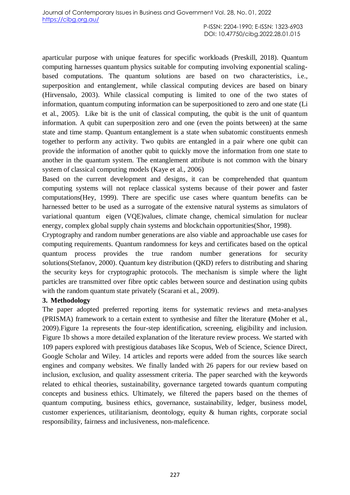aparticular purpose with unique features for specific workloads (Preskill, 2018). Quantum computing harnesses quantum physics suitable for computing involving exponential scalingbased computations. The quantum solutions are based on two characteristics, i.e., superposition and entanglement, while classical computing devices are based on binary (Hirvensalo, 2003). While classical computing is limited to one of the two states of information, quantum computing information can be superpositioned to zero and one state (Li et al., 2005). Like bit is the unit of classical computing, the qubit is the unit of quantum information. A qubit can superposition zero and one (even the points between) at the same state and time stamp. Quantum entanglement is a state when subatomic constituents enmesh together to perform any activity. Two qubits are entangled in a pair where one qubit can provide the information of another qubit to quickly move the information from one state to another in the quantum system. The entanglement attribute is not common with the binary system of classical computing models (Kaye et al., 2006)

Based on the current development and designs, it can be comprehended that quantum computing systems will not replace classical systems because of their power and faster computations(Hey, 1999). There are specific use cases where quantum benefits can be harnessed better to be used as a surrogate of the extensive natural systems as simulators of variational quantum eigen (VQE)values, climate change, chemical simulation for nuclear energy, complex global supply chain systems and blockchain opportunities(Shor, 1998).

Cryptography and random number generations are also viable and approachable use cases for computing requirements. Quantum randomness for keys and certificates based on the optical quantum process provides the true random number generations for security solutions(Stefanov, 2000). Quantum key distribution (QKD) refers to distributing and sharing the security keys for cryptographic protocols. The mechanism is simple where the light particles are transmitted over fibre optic cables between source and destination using qubits with the random quantum state privately (Scarani et al., 2009).

# **3. Methodology**

The paper adopted preferred reporting items for systematic reviews and meta-analyses (PRISMA) framework to a certain extent to synthesise and filter the literature **(**Moher et al., 2009).Figure 1a represents the four-step identification, screening, eligibility and inclusion. Figure 1b shows a more detailed explanation of the literature review process. We started with 109 papers explored with prestigious databases like Scopus, Web of Science, Science Direct, Google Scholar and Wiley. 14 articles and reports were added from the sources like search engines and company websites. We finally landed with 26 papers for our review based on inclusion, exclusion, and quality assessment criteria. The paper searched with the keywords related to ethical theories, sustainability, governance targeted towards quantum computing concepts and business ethics. Ultimately, we filtered the papers based on the themes of quantum computing, business ethics, governance, sustainability, ledger, business model, customer experiences, utilitarianism, deontology, equity & human rights, corporate social responsibility, fairness and inclusiveness, non-maleficence.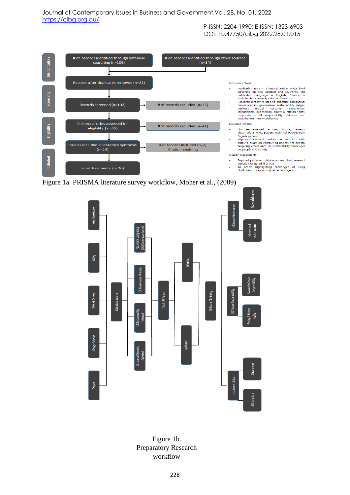

Figure 1a. PRISMA literature survey workflow, Moher et al., (2009)



Figure 1b. Preparatory Research workflow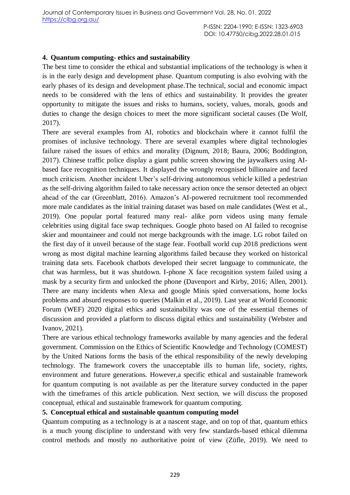#### **4. Quantum computing- ethics and sustainability**

The best time to consider the ethical and substantial implications of the technology is when it is in the early design and development phase. Quantum computing is also evolving with the early phases of its design and development phase.The technical, social and economic impact needs to be considered with the lens of ethics and sustainability. It provides the greater opportunity to mitigate the issues and risks to humans, society, values, morals, goods and duties to change the design choices to meet the more significant societal causes (De Wolf, 2017).

There are several examples from AI, robotics and blockchain where it cannot fulfil the promises of inclusive technology. There are several examples where digital technologies failure raised the issues of ethics and morality (Dignum, 2018; Baura, 2006; Boddington, 2017). Chinese traffic police display a giant public screen showing the jaywalkers using AIbased face recognition techniques. It displayed the wrongly recognised billionaire and faced much criticism. Another incident Uber's self-driving autonomous vehicle killed a pedestrian as the self-driving algorithm failed to take necessary action once the sensor detected an object ahead of the car (Greenblatt, 2016). Amazon's AI-powered recruitment tool recommended more male candidates as the initial training dataset was based on male candidates (West et al., 2019). One popular portal featured many real- alike porn videos using many female celebrities using digital face swap techniques. Google photo based on AI failed to recognise skier and mountaineer and could not merge backgrounds with the image. LG robot failed on the first day of it unveil because of the stage fear. Football world cup 2018 predictions went wrong as most digital machine learning algorithms failed because they worked on historical training data sets. Facebook chatbots developed their secret language to communicate, the chat was harmless, but it was shutdown. I-phone X face recognition system failed using a mask by a security firm and unlocked the phone (Davenport and Kirby, 2016; Allen, 2001). There are many incidents when Alexa and google Minis spied conversations, home locks problems and absurd responses to queries (Malkin et al., 2019). Last year at World Economic Forum (WEF) 2020 digital ethics and sustainability was one of the essential themes of discussion and provided a platform to discuss digital ethics and sustainability (Webster and Ivanov, 2021).

There are various ethical technology frameworks available by many agencies and the federal government. Commission on the Ethics of Scientific Knowledge and Technology (COMEST) by the United Nations forms the basis of the ethical responsibility of the newly developing technology. The framework covers the unacceptable ills to human life, society, rights, environment and future generations. However,a specific ethical and sustainable framework for quantum computing is not available as per the literature survey conducted in the paper with the timeframes of this article publication. Next section, we will discuss the proposed conceptual, ethical and sustainable framework for quantum computing.

# **5. Conceptual ethical and sustainable quantum computing model**

Quantum computing as a technology is at a nascent stage, and on top of that, quantum ethics is a much young discipline to understand with very few standards-based ethical dilemma control methods and mostly no authoritative point of view (Züfle, 2019). We need to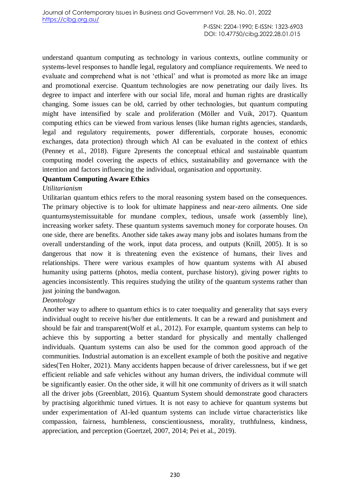understand quantum computing as technology in various contexts, outline community or systems-level responses to handle legal, regulatory and compliance requirements. We need to evaluate and comprehend what is not 'ethical' and what is promoted as more like an image and promotional exercise. Quantum technologies are now penetrating our daily lives. Its degree to impact and interfere with our social life, moral and human rights are drastically changing. Some issues can be old, carried by other technologies, but quantum computing might have intensified by scale and proliferation (Möller and Vuik, 2017). Quantum computing ethics can be viewed from various lenses (like human rights agencies, standards, legal and regulatory requirements, power differentials, corporate houses, economic exchanges, data protection) through which AI can be evaluated in the context of ethics (Penney et al., 2018). Figure 2presents the conceptual ethical and sustainable quantum computing model covering the aspects of ethics, sustainability and governance with the intention and factors influencing the individual, organisation and opportunity.

# **Quantum Computing Aware Ethics**

#### *Utilitarianism*

Utilitarian quantum ethics refers to the moral reasoning system based on the consequences. The primary objective is to look for ultimate happiness and near-zero ailments. One side quantumsystemissuitable for mundane complex, tedious, unsafe work (assembly line), increasing worker safety. These quantum systems savemuch money for corporate houses. On one side, there are benefits. Another side takes away many jobs and isolates humans from the overall understanding of the work, input data process, and outputs (Knill, 2005). It is so dangerous that now it is threatening even the existence of humans, their lives and relationships. There were various examples of how quantum systems with AI abused humanity using patterns (photos, media content, purchase history), giving power rights to agencies inconsistently. This requires studying the utility of the quantum systems rather than just joining the bandwagon.

# *Deontology*

Another way to adhere to quantum ethics is to cater toequality and generality that says every individual ought to receive his/her due entitlements. It can be a reward and punishment and should be fair and transparent(Wolf et al., 2012). For example, quantum systems can help to achieve this by supporting a better standard for physically and mentally challenged individuals. Quantum systems can also be used for the common good approach of the communities. Industrial automation is an excellent example of both the positive and negative sides(Ten Holter, 2021). Many accidents happen because of driver carelessness, but if we get efficient reliable and safe vehicles without any human drivers, the individual commute will be significantly easier. On the other side, it will hit one community of drivers as it will snatch all the driver jobs (Greenblatt, 2016). Quantum System should demonstrate good characters by practising algorithmic tuned virtues. It is not easy to achieve for quantum systems but under experimentation of AI-led quantum systems can include virtue characteristics like compassion, fairness, humbleness, conscientiousness, morality, truthfulness, kindness, appreciation, and perception (Goertzel, 2007, 2014; Pei et al., 2019).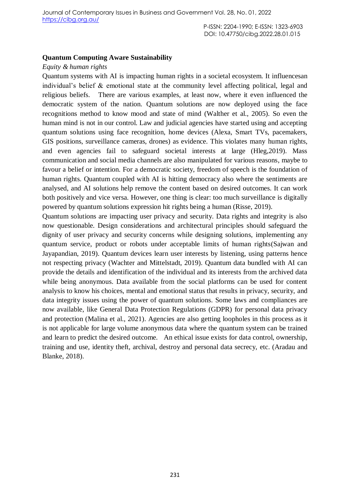#### **Quantum Computing Aware Sustainability**

#### *Equity & human rights*

Quantum systems with AI is impacting human rights in a societal ecosystem. It influencesan individual's belief & emotional state at the community level affecting political, legal and religious beliefs. There are various examples, at least now, where it even influenced the democratic system of the nation. Quantum solutions are now deployed using the face recognitions method to know mood and state of mind (Walther et al., 2005). So even the human mind is not in our control. Law and judicial agencies have started using and accepting quantum solutions using face recognition, home devices (Alexa, Smart TVs, pacemakers, GIS positions, surveillance cameras, drones) as evidence. This violates many human rights, and even agencies fail to safeguard societal interests at large (Hleg,2019). Mass communication and social media channels are also manipulated for various reasons, maybe to favour a belief or intention. For a democratic society, freedom of speech is the foundation of human rights. Quantum coupled with AI is hitting democracy also where the sentiments are analysed, and AI solutions help remove the content based on desired outcomes. It can work both positively and vice versa. However, one thing is clear: too much surveillance is digitally powered by quantum solutions expression hit rights being a human (Risse, 2019).

Quantum solutions are impacting user privacy and security. Data rights and integrity is also now questionable. Design considerations and architectural principles should safeguard the dignity of user privacy and security concerns while designing solutions, implementing any quantum service, product or robots under acceptable limits of human rights(Sajwan and Jayapandian, 2019). Quantum devices learn user interests by listening, using patterns hence not respecting privacy (Wachter and Mittelstadt, 2019). Quantum data bundled with AI can provide the details and identification of the individual and its interests from the archived data while being anonymous. Data available from the social platforms can be used for content analysis to know his choices, mental and emotional status that results in privacy, security, and data integrity issues using the power of quantum solutions. Some laws and compliances are now available, like General Data Protection Regulations (GDPR) for personal data privacy and protection (Malina et al., 2021). Agencies are also getting loopholes in this process as it is not applicable for large volume anonymous data where the quantum system can be trained and learn to predict the desired outcome. An ethical issue exists for data control, ownership, training and use, identity theft, archival, destroy and personal data secrecy, etc. (Aradau and Blanke, 2018).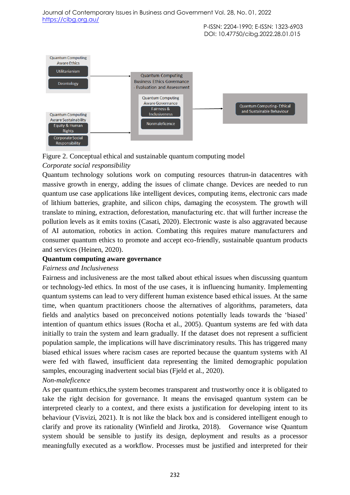Journal of Contemporary Issues in Business and Government Vol. 28, No. 01, 2022 <https://cibg.org.au/>

> P-ISSN: 2204-1990; E-ISSN: 1323-6903 DOI: 10.47750/cibg.2022.28.01.015



Figure 2. Conceptual ethical and sustainable quantum computing model

# *Corporate social responsibility*

Quantum technology solutions work on computing resources thatrun-in datacentres with massive growth in energy, adding the issues of climate change. Devices are needed to run quantum use case applications like intelligent devices, computing items, electronic cars made of lithium batteries, graphite, and silicon chips, damaging the ecosystem. The growth will translate to mining, extraction, deforestation, manufacturing etc. that will further increase the pollution levels as it emits toxins (Casati, 2020). Electronic waste is also aggravated because of AI automation, robotics in action. Combating this requires mature manufacturers and consumer quantum ethics to promote and accept eco-friendly, sustainable quantum products and services (Heinen, 2020).

# **Quantum computing aware governance**

# *Fairness and Inclusiveness*

Fairness and inclusiveness are the most talked about ethical issues when discussing quantum or technology-led ethics. In most of the use cases, it is influencing humanity. Implementing quantum systems can lead to very different human existence based ethical issues. At the same time, when quantum practitioners choose the alternatives of algorithms, parameters, data fields and analytics based on preconceived notions potentially leads towards the 'biased' intention of quantum ethics issues (Rocha et al., 2005). Quantum systems are fed with data initially to train the system and learn gradually. If the dataset does not represent a sufficient population sample, the implications will have discriminatory results. This has triggered many biased ethical issues where racism cases are reported because the quantum systems with AI were fed with flawed, insufficient data representing the limited demographic population samples, encouraging inadvertent social bias (Fjeld et al., 2020). *Non-maleficence*

# As per quantum ethics,the system becomes transparent and trustworthy once it is obligated to take the right decision for governance. It means the envisaged quantum system can be interpreted clearly to a context, and there exists a justification for developing intent to its behaviour (Visvizi, 2021). It is not like the black box and is considered intelligent enough to clarify and prove its rationality (Winfield and Jirotka, 2018). Governance wise Quantum system should be sensible to justify its design, deployment and results as a processor meaningfully executed as a workflow. Processes must be justified and interpreted for their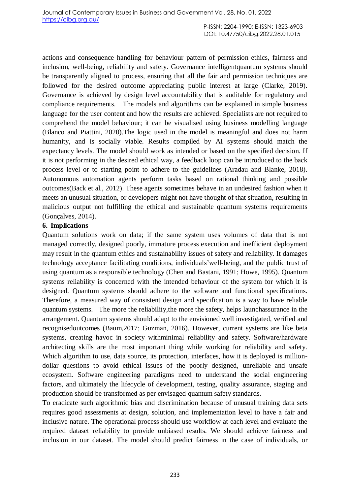actions and consequence handling for behaviour pattern of permission ethics, fairness and inclusion, well-being, reliability and safety. Governance intelligentquantum systems should be transparently aligned to process, ensuring that all the fair and permission techniques are followed for the desired outcome appreciating public interest at large (Clarke, 2019). Governance is achieved by design level accountability that is auditable for regulatory and compliance requirements. The models and algorithms can be explained in simple business language for the user content and how the results are achieved. Specialists are not required to comprehend the model behaviour; it can be visualised using business modelling language (Blanco and Piattini, 2020).The logic used in the model is meaningful and does not harm humanity, and is socially viable. Results compiled by AI systems should match the expectancy levels. The model should work as intended or based on the specified decision. If it is not performing in the desired ethical way, a feedback loop can be introduced to the back process level or to starting point to adhere to the guidelines (Aradau and Blanke, 2018). Autonomous automation agents perform tasks based on rational thinking and possible outcomes(Back et al., 2012). These agents sometimes behave in an undesired fashion when it meets an unusual situation, or developers might not have thought of that situation, resulting in malicious output not fulfilling the ethical and sustainable quantum systems requirements (Gonçalves, 2014).

# **6. Implications**

Quantum solutions work on data; if the same system uses volumes of data that is not managed correctly, designed poorly, immature process execution and inefficient deployment may result in the quantum ethics and sustainability issues of safety and reliability. It damages technology acceptance facilitating conditions, individuals'well-being, and the public trust of using quantum as a responsible technology (Chen and Bastani, 1991; Howe, 1995). Quantum systems reliability is concerned with the intended behaviour of the system for which it is designed. Quantum systems should adhere to the software and functional specifications. Therefore, a measured way of consistent design and specification is a way to have reliable quantum systems. The more the reliability,the more the safety, helps launchassurance in the arrangement. Quantum systems should adapt to the envisioned well investigated, verified and recognisedoutcomes (Baum,2017; Guzman, 2016). However, current systems are like beta systems, creating havoc in society withminimal reliability and safety. Software/hardware architecting skills are the most important thing while working for reliability and safety. Which algorithm to use, data source, its protection, interfaces, how it is deployed is milliondollar questions to avoid ethical issues of the poorly designed, unreliable and unsafe ecosystem. Software engineering paradigms need to understand the social engineering factors, and ultimately the lifecycle of development, testing, quality assurance, staging and production should be transformed as per envisaged quantum safety standards.

To eradicate such algorithmic bias and discrimination because of unusual training data sets requires good assessments at design, solution, and implementation level to have a fair and inclusive nature. The operational process should use workflow at each level and evaluate the required dataset reliability to provide unbiased results. We should achieve fairness and inclusion in our dataset. The model should predict fairness in the case of individuals, or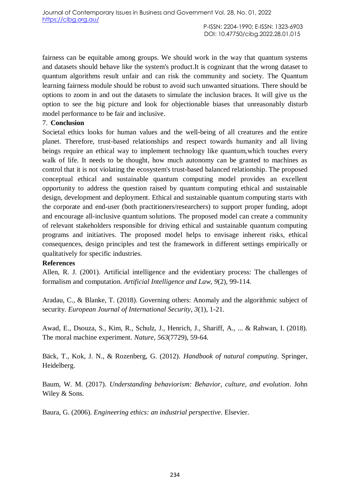fairness can be equitable among groups. We should work in the way that quantum systems and datasets should behave like the system's product.It is cognizant that the wrong dataset to quantum algorithms result unfair and can risk the community and society. The Quantum learning fairness module should be robust to avoid such unwanted situations. There should be options to zoom in and out the datasets to simulate the inclusion braces. It will give us the option to see the big picture and look for objectionable biases that unreasonably disturb model performance to be fair and inclusive.

# 7. **Conclusion**

Societal ethics looks for human values and the well-being of all creatures and the entire planet. Therefore, trust-based relationships and respect towards humanity and all living beings require an ethical way to implement technology like quantum,which touches every walk of life. It needs to be thought, how much autonomy can be granted to machines as control that it is not violating the ecosystem's trust-based balanced relationship. The proposed conceptual ethical and sustainable quantum computing model provides an excellent opportunity to address the question raised by quantum computing ethical and sustainable design, development and deployment. Ethical and sustainable quantum computing starts with the corporate and end-user (both practitioners/researchers) to support proper funding, adopt and encourage all-inclusive quantum solutions. The proposed model can create a community of relevant stakeholders responsible for driving ethical and sustainable quantum computing programs and initiatives. The proposed model helps to envisage inherent risks, ethical consequences, design principles and test the framework in different settings empirically or qualitatively for specific industries.

# **References**

Allen, R. J. (2001). Artificial intelligence and the evidentiary process: The challenges of formalism and computation. *Artificial Intelligence and Law*, *9*(2), 99-114.

Aradau, C., & Blanke, T. (2018). Governing others: Anomaly and the algorithmic subject of security. *European Journal of International Security*, *3*(1), 1-21.

Awad, E., Dsouza, S., Kim, R., Schulz, J., Henrich, J., Shariff, A., ... & Rahwan, I. (2018). The moral machine experiment. *Nature*, *563*(7729), 59-64.

Bäck, T., Kok, J. N., & Rozenberg, G. (2012). *Handbook of natural computing*. Springer, Heidelberg.

Baum, W. M. (2017). *Understanding behaviorism: Behavior, culture, and evolution*. John Wiley & Sons.

Baura, G. (2006). *Engineering ethics: an industrial perspective*. Elsevier.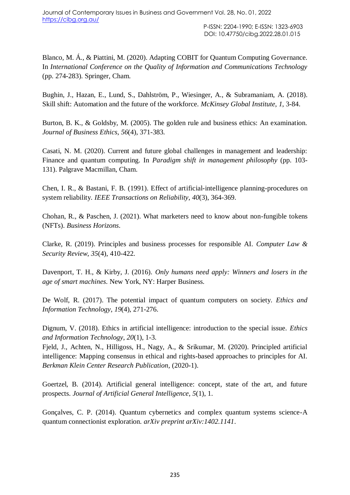Blanco, M. Á., & Piattini, M. (2020). Adapting COBIT for Quantum Computing Governance. In *International Conference on the Quality of Information and Communications Technology* (pp. 274-283). Springer, Cham.

Bughin, J., Hazan, E., Lund, S., Dahlström, P., Wiesinger, A., & Subramaniam, A. (2018). Skill shift: Automation and the future of the workforce. *McKinsey Global Institute*, *1*, 3-84.

Burton, B. K., & Goldsby, M. (2005). The golden rule and business ethics: An examination. *Journal of Business Ethics*, *56*(4), 371-383.

Casati, N. M. (2020). Current and future global challenges in management and leadership: Finance and quantum computing. In *Paradigm shift in management philosophy* (pp. 103- 131). Palgrave Macmillan, Cham.

Chen, I. R., & Bastani, F. B. (1991). Effect of artificial-intelligence planning-procedures on system reliability. *IEEE Transactions on Reliability*, *40*(3), 364-369.

Chohan, R., & Paschen, J. (2021). What marketers need to know about non-fungible tokens (NFTs). *Business Horizons*.

Clarke, R. (2019). Principles and business processes for responsible AI. *Computer Law & Security Review*, *35*(4), 410-422.

Davenport, T. H., & Kirby, J. (2016). *Only humans need apply: Winners and losers in the age of smart machines*. New York, NY: Harper Business.

De Wolf, R. (2017). The potential impact of quantum computers on society. *Ethics and Information Technology*, *19*(4), 271-276.

Dignum, V. (2018). Ethics in artificial intelligence: introduction to the special issue. *Ethics and Information Technology*, *20*(1), 1-3.

Fjeld, J., Achten, N., Hilligoss, H., Nagy, A., & Srikumar, M. (2020). Principled artificial intelligence: Mapping consensus in ethical and rights-based approaches to principles for AI. *Berkman Klein Center Research Publication*, (2020-1).

Goertzel, B. (2014). Artificial general intelligence: concept, state of the art, and future prospects. *Journal of Artificial General Intelligence*, *5*(1), 1.

Gonçalves, C. P. (2014). Quantum cybernetics and complex quantum systems science-A quantum connectionist exploration. *arXiv preprint arXiv:1402.1141*.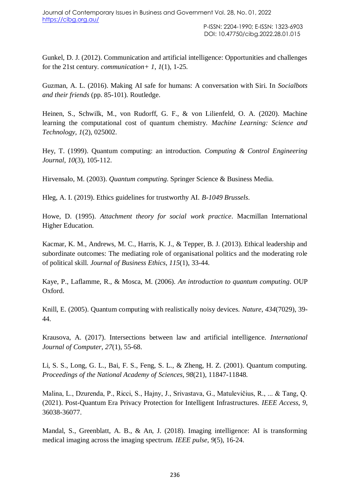Gunkel, D. J. (2012). Communication and artificial intelligence: Opportunities and challenges for the 21st century. *communication+ 1*, *1*(1), 1-25.

Guzman, A. L. (2016). Making AI safe for humans: A conversation with Siri. In *Socialbots and their friends* (pp. 85-101). Routledge.

Heinen, S., Schwilk, M., von Rudorff, G. F., & von Lilienfeld, O. A. (2020). Machine learning the computational cost of quantum chemistry. *Machine Learning: Science and Technology*, *1*(2), 025002.

Hey, T. (1999). Quantum computing: an introduction. *Computing & Control Engineering Journal*, *10*(3), 105-112.

Hirvensalo, M. (2003). *Quantum computing*. Springer Science & Business Media.

Hleg, A. I. (2019). Ethics guidelines for trustworthy AI. *B-1049 Brussels*.

Howe, D. (1995). *Attachment theory for social work practice*. Macmillan International Higher Education.

Kacmar, K. M., Andrews, M. C., Harris, K. J., & Tepper, B. J. (2013). Ethical leadership and subordinate outcomes: The mediating role of organisational politics and the moderating role of political skill. *Journal of Business Ethics*, *115*(1), 33-44.

Kaye, P., Laflamme, R., & Mosca, M. (2006). *An introduction to quantum computing*. OUP Oxford.

Knill, E. (2005). Quantum computing with realistically noisy devices. *Nature*, *434*(7029), 39- 44.

Krausova, A. (2017). Intersections between law and artificial intelligence. *International Journal of Computer*, *27*(1), 55-68.

Li, S. S., Long, G. L., Bai, F. S., Feng, S. L., & Zheng, H. Z. (2001). Quantum computing. *Proceedings of the National Academy of Sciences*, *98*(21), 11847-11848.

Malina, L., Dzurenda, P., Ricci, S., Hajny, J., Srivastava, G., Matulevičius, R., ... & Tang, Q. (2021). Post-Quantum Era Privacy Protection for Intelligent Infrastructures. *IEEE Access*, *9*, 36038-36077.

Mandal, S., Greenblatt, A. B., & An, J. (2018). Imaging intelligence: AI is transforming medical imaging across the imaging spectrum. *IEEE pulse*, *9*(5), 16-24.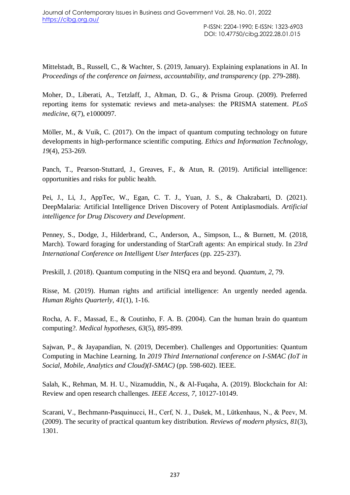Mittelstadt, B., Russell, C., & Wachter, S. (2019, January). Explaining explanations in AI. In *Proceedings of the conference on fairness, accountability, and transparency* (pp. 279-288).

Moher, D., Liberati, A., Tetzlaff, J., Altman, D. G., & Prisma Group. (2009). Preferred reporting items for systematic reviews and meta-analyses: the PRISMA statement. *PLoS medicine*, *6*(7), e1000097.

Möller, M., & Vuik, C. (2017). On the impact of quantum computing technology on future developments in high-performance scientific computing. *Ethics and Information Technology*, *19*(4), 253-269.

Panch, T., Pearson-Stuttard, J., Greaves, F., & Atun, R. (2019). Artificial intelligence: opportunities and risks for public health.

Pei, J., Li, J., AppTec, W., Egan, C. T. J., Yuan, J. S., & Chakrabarti, D. (2021). DeepMalaria: Artificial Intelligence Driven Discovery of Potent Antiplasmodials. *Artificial intelligence for Drug Discovery and Development*.

Penney, S., Dodge, J., Hilderbrand, C., Anderson, A., Simpson, L., & Burnett, M. (2018, March). Toward foraging for understanding of StarCraft agents: An empirical study. In *23rd International Conference on Intelligent User Interfaces* (pp. 225-237).

Preskill, J. (2018). Quantum computing in the NISQ era and beyond. *Quantum*, *2*, 79.

Risse, M. (2019). Human rights and artificial intelligence: An urgently needed agenda. *Human Rights Quarterly*, *41*(1), 1-16.

Rocha, A. F., Massad, E., & Coutinho, F. A. B. (2004). Can the human brain do quantum computing?. *Medical hypotheses*, *63*(5), 895-899.

Sajwan, P., & Jayapandian, N. (2019, December). Challenges and Opportunities: Quantum Computing in Machine Learning. In *2019 Third International conference on I-SMAC (IoT in Social, Mobile, Analytics and Cloud)(I-SMAC)* (pp. 598-602). IEEE.

Salah, K., Rehman, M. H. U., Nizamuddin, N., & Al-Fuqaha, A. (2019). Blockchain for AI: Review and open research challenges. *IEEE Access*, *7*, 10127-10149.

Scarani, V., Bechmann-Pasquinucci, H., Cerf, N. J., Dušek, M., Lütkenhaus, N., & Peev, M. (2009). The security of practical quantum key distribution. *Reviews of modern physics*, *81*(3), 1301.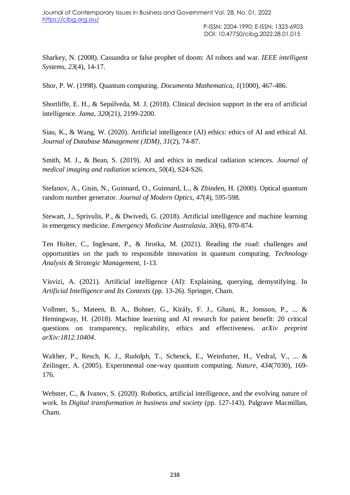Sharkey, N. (2008). Cassandra or false prophet of doom: AI robots and war. *IEEE intelligent Systems*, *23*(4), 14-17.

Shor, P. W. (1998). Quantum computing. *Documenta Mathematica*, *1*(1000), 467-486.

Shortliffe, E. H., & Sepúlveda, M. J. (2018). Clinical decision support in the era of artificial intelligence. *Jama*, *320*(21), 2199-2200.

Siau, K., & Wang, W. (2020). Artificial intelligence (AI) ethics: ethics of AI and ethical AI. *Journal of Database Management (JDM)*, *31*(2), 74-87.

Smith, M. J., & Bean, S. (2019). AI and ethics in medical radiation sciences. *Journal of medical imaging and radiation sciences*, *50*(4), S24-S26.

Stefanov, A., Gisin, N., Guinnard, O., Guinnard, L., & Zbinden, H. (2000). Optical quantum random number generator. *Journal of Modern Optics*, *47*(4), 595-598.

Stewart, J., Sprivulis, P., & Dwivedi, G. (2018). Artificial intelligence and machine learning in emergency medicine. *Emergency Medicine Australasia*, *30*(6), 870-874.

Ten Holter, C., Inglesant, P., & Jirotka, M. (2021). Reading the road: challenges and opportunities on the path to responsible innovation in quantum computing. *Technology Analysis & Strategic Management*, 1-13.

Visvizi, A. (2021). Artificial intelligence (AI): Explaining, querying, demystifying. In *Artificial Intelligence and Its Contexts* (pp. 13-26). Springer, Cham.

Vollmer, S., Mateen, B. A., Bohner, G., Király, F. J., Ghani, R., Jonsson, P., ... & Hemingway, H. (2018). Machine learning and AI research for patient benefit: 20 critical questions on transparency, replicability, ethics and effectiveness. *arXiv preprint arXiv:1812.10404*.

Walther, P., Resch, K. J., Rudolph, T., Schenck, E., Weinfurter, H., Vedral, V., ... & Zeilinger, A. (2005). Experimental one-way quantum computing. *Nature*, *434*(7030), 169- 176.

Webster, C., & Ivanov, S. (2020). Robotics, artificial intelligence, and the evolving nature of work. In *Digital transformation in business and society* (pp. 127-143). Palgrave Macmillan, Cham.